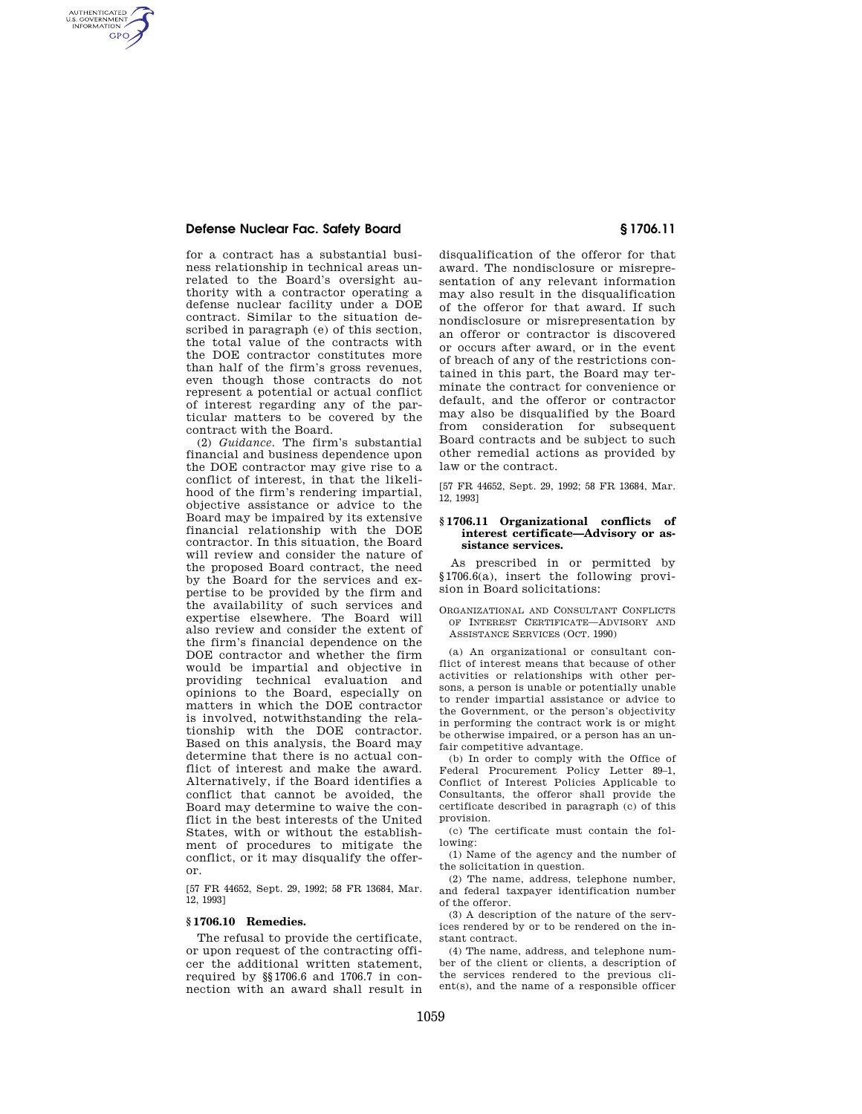## **Defense Nuclear Fac. Safety Board § 1706.11**

AUTHENTICATED<br>U.S. GOVERNMENT<br>INFORMATION GPO

> for a contract has a substantial business relationship in technical areas unrelated to the Board's oversight authority with a contractor operating a defense nuclear facility under a DOE contract. Similar to the situation described in paragraph (e) of this section, the total value of the contracts with the DOE contractor constitutes more than half of the firm's gross revenues, even though those contracts do not represent a potential or actual conflict of interest regarding any of the particular matters to be covered by the contract with the Board.

> (2) *Guidance.* The firm's substantial financial and business dependence upon the DOE contractor may give rise to a conflict of interest, in that the likelihood of the firm's rendering impartial, objective assistance or advice to the Board may be impaired by its extensive financial relationship with the DOE contractor. In this situation, the Board will review and consider the nature of the proposed Board contract, the need by the Board for the services and expertise to be provided by the firm and the availability of such services and expertise elsewhere. The Board will also review and consider the extent of the firm's financial dependence on the DOE contractor and whether the firm would be impartial and objective in providing technical evaluation and opinions to the Board, especially on matters in which the DOE contractor is involved, notwithstanding the relationship with the DOE contractor. Based on this analysis, the Board may determine that there is no actual conflict of interest and make the award. Alternatively, if the Board identifies a conflict that cannot be avoided, the Board may determine to waive the conflict in the best interests of the United States, with or without the establishment of procedures to mitigate the conflict, or it may disqualify the offeror.

[57 FR 44652, Sept. 29, 1992; 58 FR 13684, Mar. 12, 1993]

### **§ 1706.10 Remedies.**

The refusal to provide the certificate, or upon request of the contracting officer the additional written statement, required by §§1706.6 and 1706.7 in connection with an award shall result in

disqualification of the offeror for that award. The nondisclosure or misrepresentation of any relevant information may also result in the disqualification of the offeror for that award. If such nondisclosure or misrepresentation by an offeror or contractor is discovered or occurs after award, or in the event of breach of any of the restrictions contained in this part, the Board may terminate the contract for convenience or default, and the offeror or contractor may also be disqualified by the Board from consideration for subsequent Board contracts and be subject to such other remedial actions as provided by law or the contract.

[57 FR 44652, Sept. 29, 1992; 58 FR 13684, Mar. 12, 1993]

#### **§ 1706.11 Organizational conflicts of interest certificate—Advisory or assistance services.**

As prescribed in or permitted by §1706.6(a), insert the following provision in Board solicitations:

ORGANIZATIONAL AND CONSULTANT CONFLICTS OF INTEREST CERTIFICATE—ADVISORY AND ASSISTANCE SERVICES (OCT. 1990)

(a) An organizational or consultant conflict of interest means that because of other activities or relationships with other persons, a person is unable or potentially unable to render impartial assistance or advice to the Government, or the person's objectivity in performing the contract work is or might be otherwise impaired, or a person has an unfair competitive advantage.

(b) In order to comply with the Office of Federal Procurement Policy Letter 89–1, Conflict of Interest Policies Applicable to Consultants, the offeror shall provide the certificate described in paragraph (c) of this provision.

(c) The certificate must contain the following:

(1) Name of the agency and the number of the solicitation in question.

(2) The name, address, telephone number, and federal taxpayer identification number of the offeror.

(3) A description of the nature of the services rendered by or to be rendered on the instant contract.

(4) The name, address, and telephone number of the client or clients, a description of the services rendered to the previous client(s), and the name of a responsible officer